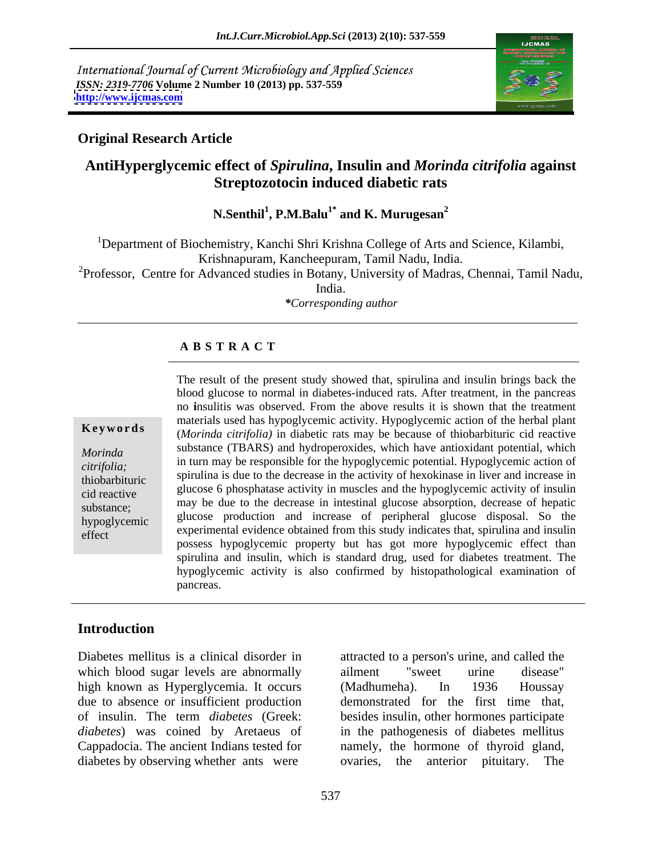International Journal of Current Microbiology and Applied Sciences *ISSN: 2319-7706* **Volume 2 Number 10 (2013) pp. 537-559 <http://www.ijcmas.com>**



### **Original Research Article**

## **AntiHyperglycemic effect of** *Spirulina***, Insulin and** *Morinda citrifolia* **against Streptozotocin induced diabetic rats**

**N.Senthil<sup>1</sup> , P.M.Balu1\* and K. Murugesan<sup>2</sup>**

<sup>1</sup>Department of Biochemistry, Kanchi Shri Krishna College of Arts and Science, Kilambi, Krishnapuram, Kancheepuram, Tamil Nadu, India.

 $2P$ Professor, Centre for Advanced studies in Botany, University of Madras, Chennai, Tamil Nadu,

India.

*\*Corresponding author* 

### **A B S T R A C T**

**Keywords**(*Morinda citrifolia*) in diabetic rats may be because of thiobarbituric cid reactive *Morinda*  substance (TBARS) and hydroperoxides, which have antioxidant potential, which *citrifolia;* in turn may be responsible for the hypoglycemic potential. Hypoglycemic action of thiobarbituric spiruling is que to the decrease in the activity of hexokinase in liver and increase in cid reactive glucose 6 phosphatase activity in muscles and the hypoglycemic activity of insulin exercise to the decrease in intestinal glucose absorption, decrease of hepatic substance; hypoglycemic glucose production and increase of peripheral glucose disposal. So the experimental evidence obtained from this study indicates that, spirulina and insulin<br>effect The result of the present study showed that, spirulina and insulin brings back the blood glucose to normal in diabetes-induced rats. After treatment, in the pancreas no **i**nsulitis was observed. From the above results it is shown that the treatment materials used has hypoglycemic activity. Hypoglycemic action of the herbal plant spirulina is due to the decrease in the activity of hexokinase in liver and increase in glucose production and increase of peripheral glucose disposal. So the possess hypoglycemic property but has got more hypoglycemic effect than spirulina and insulin, which is standard drug, used for diabetes treatment. The hypoglycemic activity is also confirmed by histopathological examination of pancreas.

### **Introduction**

Diabetes mellitus is a clinical disorder in attracted to a person's urine, and called the which blood sugar levels are abnormally ailment "sweet urine disease" high known as Hyperglycemia. It occurs (Madhumeha). In 1936 Houssay due to absence or insufficient production demonstrated for the first time that, of insulin. The term *diabetes* (Greek: besides insulin, other hormones participate *diabetes*) was coined by Aretaeus of in the pathogenesis of diabetes mellitus Cappadocia. The ancient Indians tested for namely, the hormone of thyroid gland, diabetes by observing whether ants were ovaries, the anterior pituitary. The

ailment "sweet urine disease" (Madhumeha). In 1936 Houssay ovaries, the anterior pituitary. The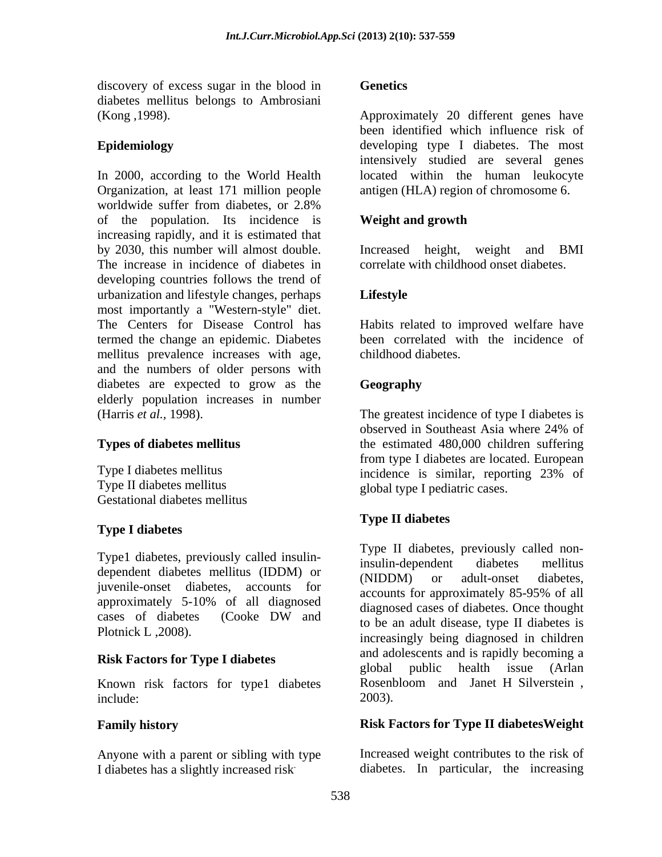discovery of excess sugar in the blood in Genetics diabetes mellitus belongs to Ambrosiani

Organization, at least 171 million people worldwide suffer from diabetes, or 2.8% of the population. Its incidence is Weight and growth increasing rapidly, and it is estimated that by 2030, this number will almost double. Increased height, weight and BMI The increase in incidence of diabetes in developing countries follows the trend of urbanization and lifestyle changes, perhaps **Lifestyle** most importantly a "Western-style" diet. The Centers for Disease Control has Habits related to improved welfare have termed the change an epidemic. Diabetes mellitus prevalence increases with age, and the numbers of older persons with diabetes are expected to grow as the Geography elderly population increases in number (Harris *et al.,* 1998). The greatest incidence of type I diabetes is discorey of excess sage in blok bood in Genetics<br>
(Kong 1998).<br>
(Kong 1998).<br>
(Kong 1998).<br>
(Kong 1998).<br> **Epidemiology** boom Mont Bealth boostnained which influence risk of<br>
for a slow-type of diabetes. The free of<br>
for a

Gestational diabetes mellitus

### **Type I diabetes**

Type1 diabetes, previously called insulin-<br>insulin-dependent diabetes mellitus dependent diabetes mellitus (IDDM) or  $\overline{N}$  (NIDDM) or adult-onset diabetes, juvenile-onset diabetes, accounts for approximately 5-10% of all diagnosed diagnosed cases of diabates. Once thought cases of diabetes (Cooke DW and to be an adult disease type II diabetes is

Known risk factors for type1 diabetes  $i$ nclude:  $2003$ ).

Anyone with a parent or sibling with type

(Kong ,1998). Approximately 20 different genes have **Epidemiology** developing type I diabetes. The most In 2000, according to the World Health located within the human leukocyte been identified which influence risk of intensively studied are several genes antigen (HLA) region of chromosome 6.

### **Weight and growth**

correlate with childhood onset diabetes.

### **Lifestyle**

been correlated with the incidence of childhood diabetes.

### **Geography**

**Types of diabetes mellitus** the estimated 480,000 children suffering Type I diabetes mellitus incidence is similar, reporting 23% of Type II diabetes mellitus global type I pediatric cases. observed in Southeast Asia where 24% of from type I diabetes are located. European incidence is similar, reporting 23% of

### **Type II diabetes**

Plotnick L, 2008).<br>
increasingly being diagnosed in children **Risk Factors for Type I diabetes** and adolescents and is rapidly becoming a and adolescents and is rapidly becoming a Type II diabetes, previously called noninsulin-dependent diabetes mellitus (NIDDM) or adult-onset diabetes, accounts for approximately 85-95% of all diagnosed cases of diabetes. Once thought to be an adult disease, type II diabetes is and adolescents and is rapidly becoming a global public health issue (Arlan Rosenbloom and Janet H Silverstein , 2003).

### **Family history Risk Factors for Type II diabetesWeight**

Increased weight contributes to the risk of diabetes. In particular, the increasing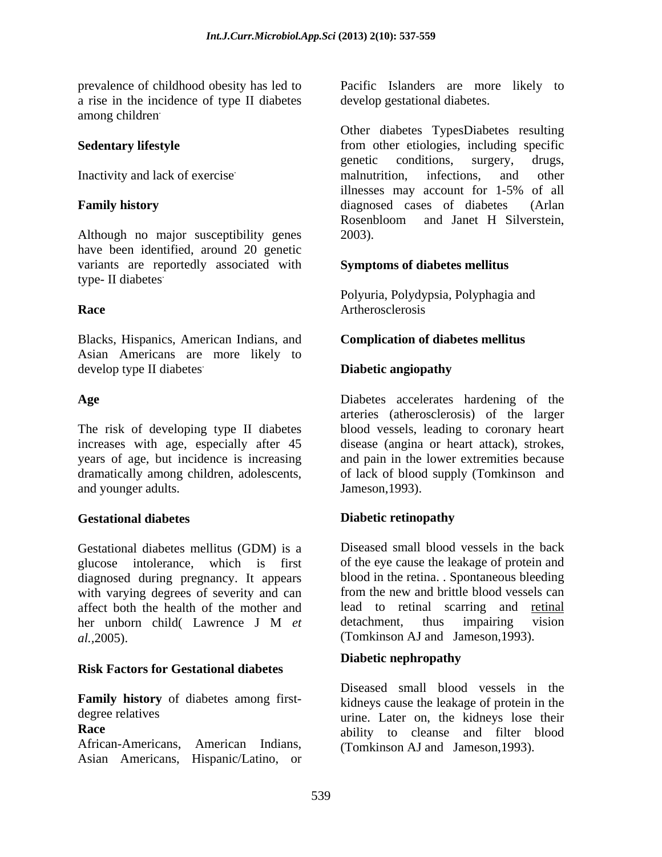a rise in the incidence of type II diabetes among children.

Although no major susceptibility genes 2003). have been identified, around 20 genetic variants are reportedly associated with type- II diabetes

Blacks, Hispanics, American Indians, and Asian Americans are more likely to develop type II diabetes. **Diabetic angiopathy** 

The risk of developing type II diabetes blood vessels, leading to coronary heart increases with age, especially after 45 disease (angina or heart attack), strokes, increases with age, especially after 45 years of age, but incidence is increasing and younger adults.

Gestational diabetes mellitus (GDM) is a glucose intolerance, which is first diagnosed during pregnancy. It appears with varying degrees of severity and can affect both the health of the mother and lead to retinal scarring and <u>retinal</u><br>her unborn child Lawrence J M *et* detachment, thus impairing vision her unborn child( Lawrence J M *et al.,*2005). (Tomkinson AJ and Jameson,1993).

# **Risk Factors for Gestational diabetes**

**Family history** of diabetes among first-

African-Americans, American Indians, Asian Americans, Hispanic/Latino, or

prevalence of childhood obesity has led to Pacific Islanders are more likely to develop gestational diabetes.

**Sedentary lifestyle from** other etiologies, including specific Inactivity and lack of exercise malnutrition, infections, and other **Family history Example 3** and the diagnosed cases of diabetes (Arlan and the diagnosed cases of diabetes (Arlan and the diagnosed cases of diabetes (Arlan and the diagnosed cases of diabetes (Arlan and the diagnosed cas Other diabetes TypesDiabetes resulting genetic conditions, surgery, drugs, malnutrition, infections, and other illnesses may account for 1-5% of all Rosenbloom and Janet H Silverstein, 2003).

### **Symptoms of diabetes mellitus**

**Race** Artherosclerosis Polyuria, Polydypsia, Polyphagia and Artherosclerosis and the set of the set of the set of the set of the set of the set of the set of the set of the set of the set of the set of the set of the set of the set of the set of the set of the set of the set of the

### **Complication of diabetes mellitus**

### **Diabetic angiopathy**

Age **Diabetes** accelerates hardening of the dramatically among children, adolescents, of lack of blood supply (Tomkinson and arteries (atherosclerosis) of the larger blood vessels, leading to coronary heart disease (angina or heart attack), strokes, and pain in the lower extremities because Jameson,1993).

### **Gestational diabetes Diabetic retinopathy**

Diseased small blood vessels in the back of the eye cause the leakage of protein and blood in the retina. . Spontaneous bleeding from the new and brittle blood vessels can lead to retinal scarring and retinal detachment, thus impairing vision

### **Diabetic nephropathy**

degree relatives urine. Later on, the kidneys lose their **Race** ability to cleanse and filter blood Diseased small blood vessels in the kidneys cause the leakage of protein in the (Tomkinson AJ and Jameson,1993).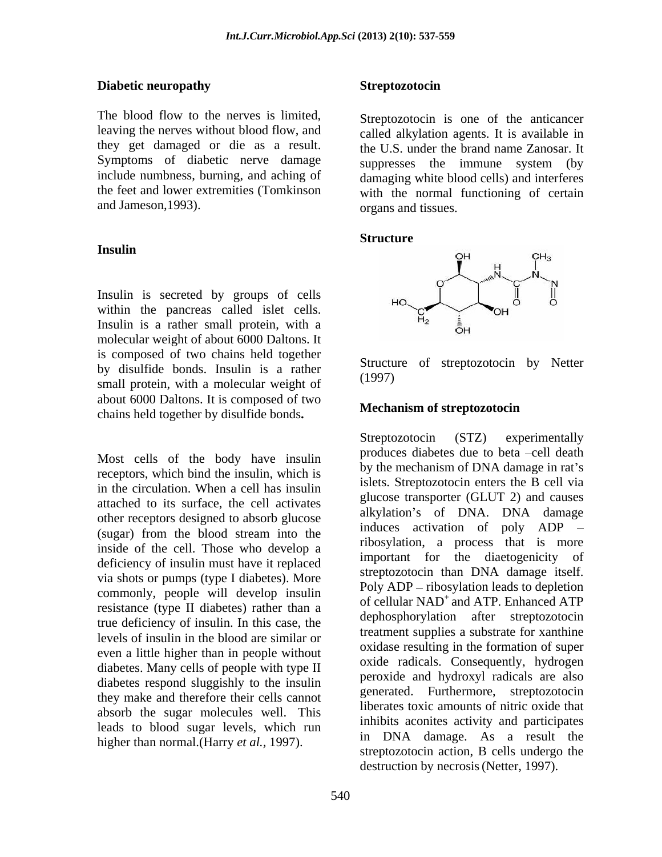### **Diabetic neuropathy**

The blood flow to the nerves is limited, Streptozotocin is one of the anticancer leaving the nerves without blood flow, and they get damaged or die as a result. Symptoms of diabetic nerve damage and Jameson,1993).

Insulin is secreted by groups of cells within the pancreas called islet cells. Insulin is a rather small protein, with a molecular weight of about 6000 Daltons. It is composed of two chains held together by disulfide bonds. Insulin is a rather surface of the structure of the contract of the contract of the contract of the contract of the contract of the contract of the contract of the contract of the contract of the contra small protein, with a molecular weight of about 6000 Daltons. It is composed of two chains held together by disulfide bonds**.**

Most cells of the body have insulin receptors, which bind the insulin, which is in the circulation. When a cell has insulin attached to its surface, the cell activates other receptors designed to absorb glucose (sugar) from the blood stream into the inside of the cell. Those who develop a deficiency of insulin must have it replaced via shots or pumps (type I diabetes). More commonly, people will develop insulin resistance (type II diabetes) rather than a true deficiency of insulin. In this case, the levels of insulin in the blood are similar or even a little higher than in people without diabetes. Many cells of people with type II diabetes respond sluggishly to the insulin they make and therefore their cells cannot absorb the sugar molecules well. This leads to blood sugar levels, which run higher than normal.(Harry *et al.*, 1997).

### **Streptozotocin**

include numbness, burning, and aching of damaging white blood cells) and interferes the feet and lower extremities (Tomkinson with the normal functioning of certain called alkylation agents. It is available in the U.S. under the brand name Zanosar. It suppresses the immune system (by organs and tissues.

### **Structure Structure**



Structure of streptozotocin by Netter (1997)

### **Mechanism of streptozotocin**

Streptozotocin (STZ) experimentally produces diabetes due to beta -cell death by the mechanism of DNA damage in rat's islets. Streptozotocin enters the B cell via glucose transporter (GLUT 2) and causes alkylation's of DNA. DNA damage induces activation of poly ADP ribosylation, a process that is more important for the diaetogenicity of streptozotocin than DNA damage itself. Poly ADP – ribosylation leads to depletion of cellular NAD<sup>+</sup> and ATP. Enhanced ATP dephosphorylation after streptozotocin treatment supplies a substrate for xanthine oxidase resulting in the formation of super oxide radicals. Consequently, hydrogen peroxide and hydroxyl radicals are also generated. Furthermore, streptozotocin liberates toxic amounts of nitric oxide that inhibits aconites activity and participates in DNA damage. As a result the streptozotocin action, B cells undergo the destruction by necrosis(Netter, 1997).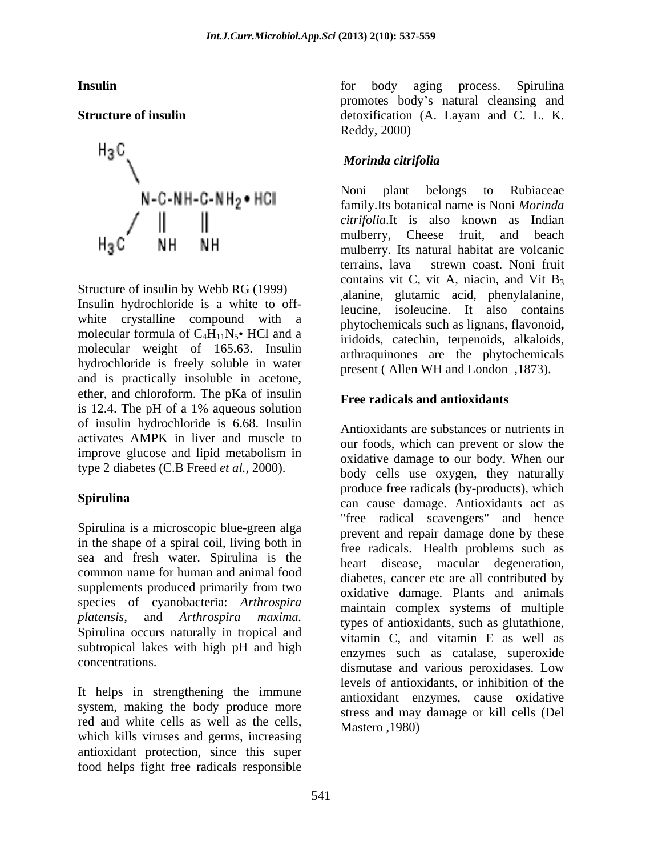

Structure of insulin by Webb RG (1999)

Insulin hydrochloride is a white to off white crystalline compound with a molecular formula of  $C_4H_{11}N_5$  HCl and a molecular weight of 165.63. Insulin hydrochloride is freely soluble in water and is practically insoluble in acetone, ether, and chloroform. The pKa of insulin is 12.4. The pH of a 1% aqueous solution of insulin hydrochloride is 6.68. Insulin type 2 diabetes (C.B Freed *et al.,* 2000).

Spirulina is a microscopic blue-green alga in the shape of a spiral coil, living both in sea and fresh water. Spirulina is the common name for human and animal food species of cyanobacteria: *Arthrospira platensis*, and *Arthrospira maxima.* Spirulina occurs naturally in tropical and subtropical lakes with high pH and high

It helps in strengthening the immune system, making the body produce more red and white cells as well as the cells, which kills viruses and germs, increasing antioxidant protection, since this super food helps fight free radicals responsible

**Insulin** for body aging process. Spirulina **Structure of insulin** detoxification (A. Layam and C. L. K. promotes body's natural cleansing and detoxification (A. Layam and C. L. K. Reddy, 2000)

### *Morinda citrifolia*

Noni plant belongs to Rubiaceae family.Its botanical name is Noni *Morinda citrifolia*.It is also known as Indian mulberry, Cheese fruit, and beach mulberry. Its natural habitat are volcanic terrains, lava - strewn coast. Noni fruit contains vit C, vit A, niacin, and Vit  $B_3$ ,alanine, glutamic acid, phenylalanine, leucine, isoleucine. It also contains phytochemicals such as lignans, flavonoid**,** iridoids, catechin, terpenoids, alkaloids, arthraquinones are the phytochemicals present ( Allen WH and London ,1873).

### **Free radicals and antioxidants**

activates AMPK in liver and muscle to an experience of numbers in the activates AMPK in liver and muscle to an expected value of slow the improve glucose and lipid metabolism in example of the same to our body. When our **Spirulina**<br>
can cause damage. Antioxidants act as supplements produced primarily from two  $\frac{1}{\alpha}$   $\frac{1}{\alpha}$   $\frac{1}{\alpha}$  and  $\frac{1}{\alpha}$  and  $\frac{1}{\alpha}$  animals concentrations. dismutase and various peroxidases. Low Antioxidants are substances or nutrients in our foods, which can prevent or slow the oxidative damage to our body. When our body cells use oxygen, they naturally produce free radicals (by-products), which "free radical scavengers" and hence prevent and repair damage done by these free radicals. Health problems such as heart disease, macular degeneration, diabetes, cancer etc are all contributed by oxidative damage. Plants and animals maintain complex systems of multiple types of antioxidants, such as glutathione, vitamin C, and vitamin E as well as enzymes such as catalase, superoxide dismutase and various peroxidases. Low levels of antioxidants, or inhibition of the antioxidant enzymes, cause oxidative stress and may damage or kill cells (Del Mastero ,1980)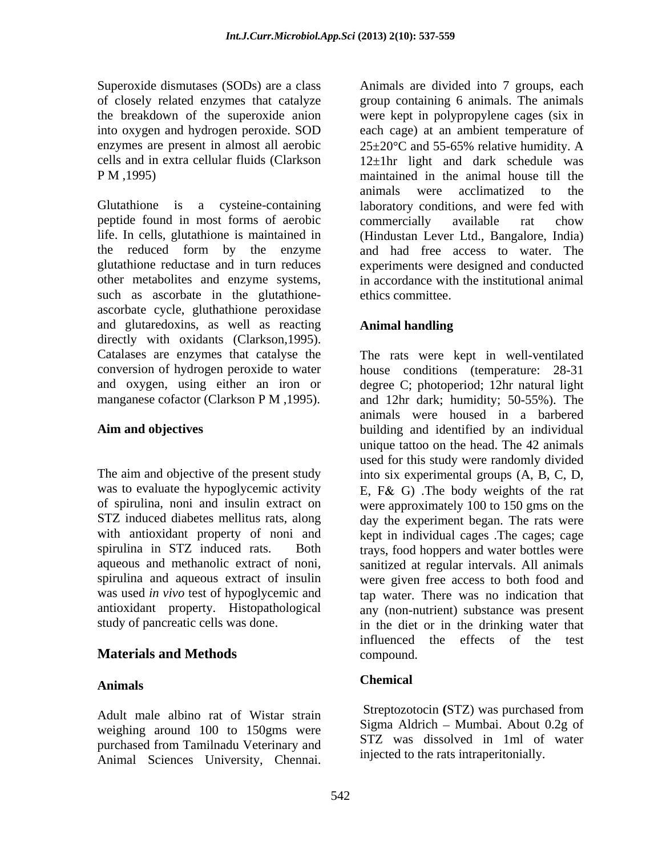Superoxide dismutases (SODs) are a class Animals are divided into 7 groups, each

Glutathione is a cysteine-containing laboratory conditions, and were fed with peptide found in most forms of aerobic life. In cells, glutathione is maintained in (Hindustan Lever Ltd., Bangalore, India) the reduced form by the enzyme glutathione reductase and in turn reduces experiments were designed and conducted other metabolites and enzyme systems, in accordance with the institutional animal such as ascorbate in the glutathione-<br>ethics committee. ascorbate cycle, gluthathione peroxidase and glutaredoxins, as well as reacting directly with oxidants (Clarkson,1995).<br>Catalases are enzymes that catalyse the The rats were kept in well-ventilated conversion of hydrogen peroxide to water house conditions (temperature: 28-31 and oxygen, using either an iron or degree C; photoperiod; 12hr natural light manganese cofactor (Clarkson P M ,1995). and 12hr dark; humidity; 50-55%). The

aqueous and methanolic extract of noni,

### **Materials and Methods**

### **Animals**

Adult male albino rat of Wistar strain weighing around 100 to 150gms were purchased from Tamilnadu Veterinary and

of closely related enzymes that catalyze group containing 6 animals. The animals the breakdown of the superoxide anion were kept in polypropylene cages (six in into oxygen and hydrogen peroxide. SOD each cage) at an ambient temperature of enzymes are present in almost all aerobic  $25 \pm 20^{\circ}$ C and 55-65% relative humidity. A cells and in extra cellular fluids (Clarkson  $12 \pm 1$ hr light and dark schedule was P M ,1995) maintained in the animal house till the animals were acclimatized to the commercially available rat chow and had free access to water. The ethics committee.

### **Animal handling**

**Aim and objectives** building and identified by an individual The aim and objective of the present study into six experimental groups (A,B, C, D, was to evaluate the hypoglycemic activity  $E, F\& G$ ). The body weights of the rat of spirulina, noni and insulin extract on were approximately 100 to 150 gms on the STZ induced diabetes mellitus rats, along day the experiment began. The rats were with antioxidant property of noni and kept in individual cages. The cages; cage spirulina in STZ induced rats. Both trays, food hoppers and water bottles were spirulina and aqueous extract of insulin were given free access to both food and was used *in vivo* test of hypoglycemic and tap water. There was no indication that antioxidant property. Histopathological any (non-nutrient) substance was present study of pancreatic cells was done. in the diet or in the drinking water that Supercoxide discussions of the such and the divided into 7 groups, each<br>value of closely related encytates University are divided into the such<br>the hypothetic encytation of the supercolution of the supercolution<br>of the su The rats were kept in well-ventilated animals were housed in a barbered unique tattoo on the head. The 42 animals used for this study were randomly divided sanitized at regular intervals. All animals influenced the effects of the test compound.

### **Chemical**

Streptozotocin **(**STZ) was purchased from Sigma Aldrich – Mumbai. About  $0.2g$  of STZ was dissolved in 1ml of water injected to the rats intraperitonially.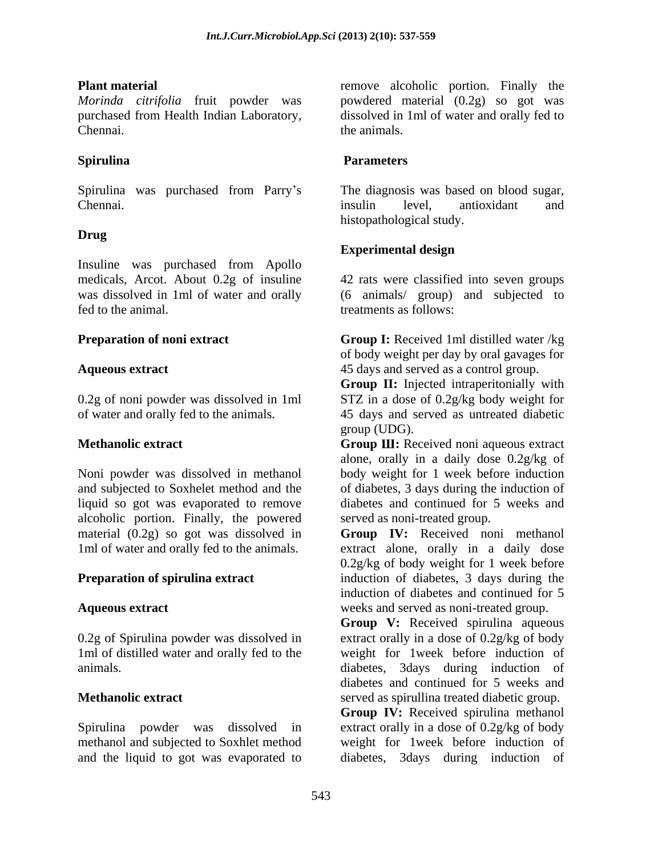### **Drug**

Insuline was purchased from Apollo medicals, Arcot. About 0.2g of insuline 42 rats were classified into seven groups was dissolved in 1ml of water and orally (6 animals/ group) and subjected to fed to the animal. treatments as follows:

liquid so got was evaporated to remove alcoholic portion. Finally, the powered 1ml of water and orally fed to the animals.

and the liquid to got was evaporated to diabetes, 3days during induction of

**Plant material remove** alcoholic portion. Finally the *Morinda citrifolia* fruit powder was powdered material (0.2g) so got was purchased from Health Indian Laboratory, dissolved in 1ml of water and orally fed to Chennai. the animals. the animals.

### **Spirulina Parameters**

Spirulina was purchased from Parry's The diagnosis was based on blood sugar, Chennai. insulin level, antioxidant and histopathological study.

### **Experimental design**

**Preparation of noni extract Group I:** Received 1ml distilled water /kg **Aqueous extract** 45 days and served as a control group. of body weight per day by oral gavages for

0.2g of noni powder was dissolved in 1ml STZ in a dose of 0.2g/kg body weight for of water and orally fed to the animals. 45 days and served as untreated diabetic **Group II:** Injected intraperitonially with group (UDG).

**Methanolic extract Group III:** Received noni aqueous extract Noni powder was dissolved in methanol body weight for 1 week before induction and subjected to Soxhelet method and the of diabetes, 3 days during the induction of alone, orally in a daily dose 0.2g/kg of diabetes and continued for 5 weeks and served as noni-treated group.

material (0.2g) so got was dissolved in **Group IV:** Received noni methanol **Preparation of spirulina extract** induction of diabetes, 3 days during the **Aqueous extract** weeks and served as noni-treated group. extract alone, orally in a daily dose 0.2g/kg of body weight for 1 week before induction of diabetes and continued for 5

0.2g of Spirulina powder was dissolved in extract orally in a dose of 0.2g/kg of body 1ml of distilled water and orally fed to the weight for 1week before induction of animals. diabetes, 3days during induction of **Methanolic extract** served as spirullina treated diabetic group. **Group V:** Received spirulina aqueous diabetes and continued for 5 weeks and

Spirulina powder was dissolved in extract orally in a dose of 0.2g/kg of body methanol and subjected to Soxhlet method weight for 1week before induction of **Group IV:** Received spirulina methanol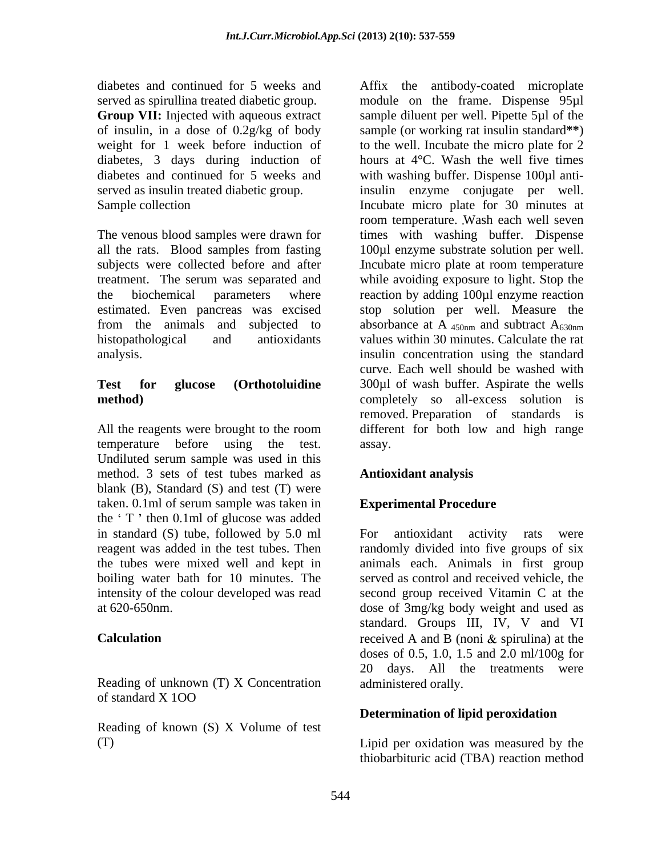subjects were collected before and after [Incubate micro plate at room temperature from the animals and subjected to absorbance at A  $_{450nm}$  and subtract A<sub>630nm</sub>

temperature before using the test. Undiluted serum sample was used in this method. 3 sets of test tubes marked as blank  $(B)$ , Standard  $(S)$  and test  $(T)$  were taken. 0.1ml of serum sample was taken in the  $T$  then 0.1ml of glucose was added in standard (S) tube, followed by 5.0 ml

Reading of unknown (T) X Concentration of standard X 1OO

Reading of known (S) X Volume of test

diabetes and continued for 5 weeks and Affix the antibody-coated microplate served as spirullina treated diabetic group. module on the frame. Dispense 95µl **Group VII:** Injected with aqueous extract sample diluent per well. Pipette 5µl of the of insulin, in a dose of 0.2g/kg of body sample (or working rat insulin standard**\*\***) weight for 1 week before induction of to the well. Incubate the micro plate for 2 diabetes, 3 days during induction of hours at 4°C. Wash the well five times diabetes and continued for 5 weeks and with washing buffer. Dispense 100µl antiserved as insulin treated diabetic group. insulin enzyme conjugate per well. Sample collection **Incubate** micro plate for 30 minutes at The venous blood samples were drawn for times with washing buffer. Dispense all the rats. Blood samples from fasting 100µl enzyme substrate solution per well. treatment. The serum was separated and while avoiding exposure to light. Stop the the biochemical parameters where reaction by adding 100µl enzyme reaction estimated. Even pancreas was excised stop solution per well. Measure the histopathological and antioxidants values within 30 minutes. Calculate the rat analysis. insulin concentration using the standard **Test for glucose (Orthotoluidine** 300µl of wash buffer. Aspirate the wells **method)**  completely so all-excess solution is All the reagents were brought to the room different for both low and high range room temperature. Wash each well seven Incubate micro plate at room temperature absorbance at A  $_{450nm}$  and subtract  $A_{630nm}$ curve. Each well should be washed with removed. Preparation of standards is assay.

### **Antioxidant analysis**

### **Experimental Procedure**

reagent was added in the test tubes. Then a randomly divided into five groups of six the tubes were mixed well and kept in animals each. Animals in first group boiling water bath for 10 minutes. The served as control and received vehicle, the intensity of the colour developed was read second group received Vitamin C at the at 620-650nm. dose of 3mg/kg body weight and used as **Calculation Calculation received** A and B (noni & spirulina) at the For antioxidant activity rats were standard. Groups III, IV, V and VI doses of 0.5, 1.0, 1.5 and 2.0 ml/100g for 20 days. All the treatments were administered orally.

### **Determination of lipid peroxidation**

(T) Lipid per oxidation was measured by the thiobarbituric acid (TBA) reaction method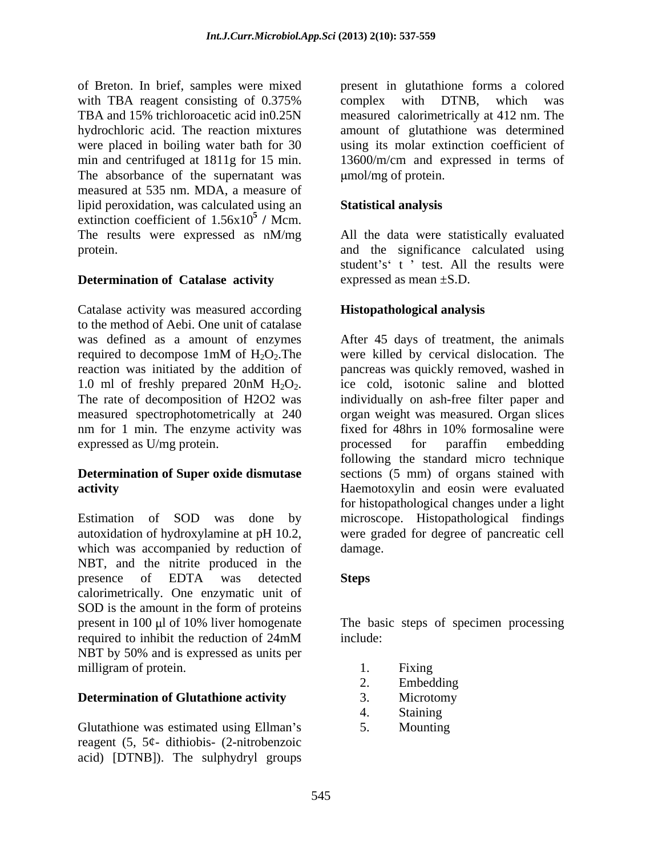of Breton. In brief, samples were mixed present in glutathione forms a colored with TBA reagent consisting of 0.375% complex with DTNB, which was TBA and 15% trichloroacetic acid in0.25N measured calorimetrically at 412 nm. The hydrochloric acid. The reaction mixtures amount of glutathione was determined were placed in boiling water bath for 30 min and centrifuged at 1811g for 15 min. 13600/m/cm and expressed in terms of The absorbance of the supernatant was  $\mu$ mol/mg of protein. measured at 535 nm. MDA, a measure of lipid peroxidation, was calculated using an **Statistical analysis** extinction coefficient of  $1.56x10^5$  / Mcm.  $5/\text{M}_{\odot}$ **/** Mcm. The results were expressed as nM/mg All the data were statistically evaluated protein. and the significance calculated using

### **Determination of Catalase activity**

Catalase activity was measured according to the method of Aebi. One unit of catalase nm for 1 min. The enzyme activity was fixed for 48hrs in 10% formosaline were expressed as U/mg protein. The processed for paraffine embedding

# **Determination of Super oxide dismutase**

Estimation of SOD was done by microscope. Histopathological findings autoxidation of hydroxylamine at pH 10.2, were graded for degree of pancreatic cell which was accompanied by reduction of damage. NBT, and the nitrite produced in the presence of EDTA was detected Steps calorimetrically. One enzymatic unit of SOD is the amount in the form of proteins present in 100 µl of 10% liver homogenate The basic steps of specimen processing required to inhibit the reduction of 24mM NBT by 50% and is expressed as units per milligram of protein. 1. Fixing

### **Determination of Glutathione activity** 3. Microtomy

Glutathione was estimated using Ellman's 5. Mounting reagent (5, 5¢- dithiobis- (2-nitrobenzoic acid) [DTNB]). The sulphydryl groups

complex with DTNB, which was using its molar extinction coefficient of mol/mg of protein.

### **Statistical analysis**

student's t ' test. All the results were expressed as mean ±S.D.

### **Histopathological analysis**

was defined as a amount of enzymes After 45 days of treatment, the animals required to decompose 1mM of  $H_2O_2$ . The were killed by cervical dislocation. The reaction was initiated by the addition of pancreas was quickly removed, washed in 1.0 ml of freshly prepared 20nM  $H_2O_2$ . ice cold, isotonic saline and blotted<br>The rate of decomposition of H2O2 was individually on ash-free filter paper and measured spectrophotometrically at 240 organ weight was measured. Organ slices **activity** Haemotoxylin and eosin were evaluated were killed by cervical dislocation. The ice cold, isotonic saline and blotted individually on ash-free filter paper and fixed for 48hrs in 10% formosaline were processed for paraffin embedding following the standard micro technique sections (5 mm) of organs stained with for histopathological changes under a light damage. **Example 20** and the set of the set of the set of the set of the set of the set of the set of the set of the set of the set of the set of the set of the set of the set of the set of the set of the set of the set of

### **Steps**

include:

- 1. Fixing
- 2. Embedding
- 3. Microtomy
- 4. Staining
- 5. Mounting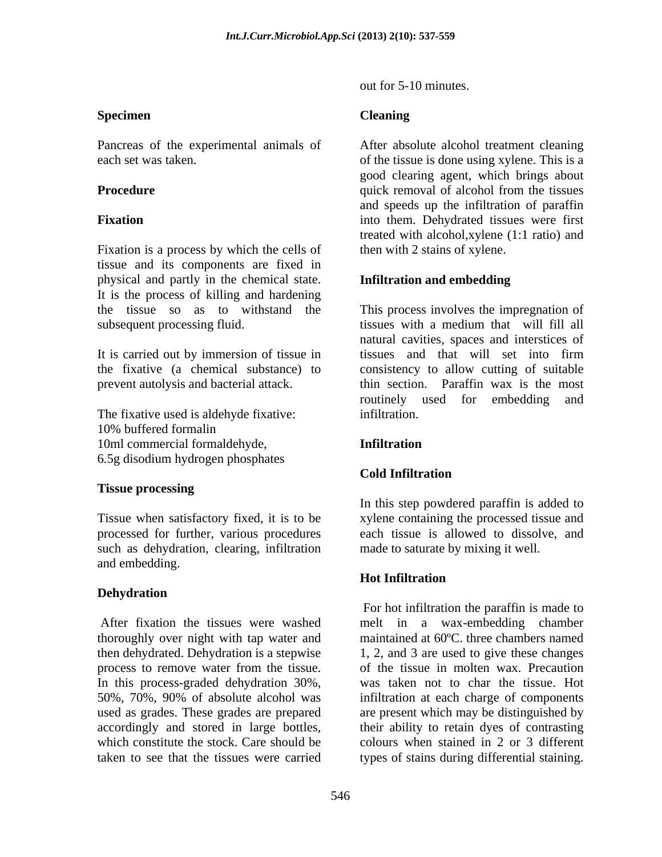### **Specimen Cleaning Cleaning**

Pancreas of the experimental animals of

Fixation is a process by which the cells of tissue and its components are fixed in physical and partly in the chemical state. It is the process of killing and hardening subsequent processing fluid. The subsequent processing fluid. The subsequent processing fluid.

It is carried out by immersion of tissue in tissues and that will set into firm

The fixative used is aldehyde fixative: infiltration. 10% buffered formalin 10ml commercial formaldehyde, **Infiltration** 6.5g disodium hydrogen phosphates

### **Tissue processing**

Tissue when satisfactory fixed, it is to be xylene containing the processed tissue and processed for further, various procedures each tissue is allowed to dissolve, and such as dehydration, clearing, infiltration and embedding.

### **Dehydration**

thoroughly over night with tap water and In this process-graded dehydration 30%,<br>50%, 70%, 90% of absolute alcohol was accordingly and stored in large bottles, out for 5-10 minutes.

### **Cleaning**

each set was taken. of the tissue is done using xylene. This is a **Procedure Exercise 2.1 and Separate 2.1 and Separate 2.1 and Separate 2.1 and 2.1 and 2.1 and 2.1 and 2.1 and 2.1 and 2.1 and 2.1 and 2.1 and 2.1 and 2.1 and 2.1 and 2.1 and 2.1 and 2.1 and 2.1 and 2.1 and 2.1 and 2.1 a Fixation into them.** Dehydrated tissues were first After absolute alcohol treatment cleaning good clearing agent, which brings about and speeds up the infiltration of paraffin treated with alcohol,xylene (1:1 ratio) and then with 2 stains of xylene.

### **Infiltration and embedding**

the tissue so as to withstand the This process involves the impregnation of the fixative (a chemical substance) to consistency to allow cutting of suitable prevent autolysis and bacterial attack. thin section. Paraffin wax is the most tissues with a medium that will fill all natural cavities, spaces and interstices of tissues and that will set into firm routinely used for embedding and infiltration.

### **Infiltration**

### **Cold Infiltration**

In this step powdered paraffin is added to made to saturate by mixing it well.

### **Hot Infiltration**

After fixation the tissues were washed melt in a wax-embedding chamber then dehydrated. Dehydration is a stepwise 1, 2, and 3 are used to give these changes process to remove water from the tissue. <br>
of the tissue in molten wax. Precaution 50%, 70%, 90% of absolute alcohol was used as grades. These grades are prepared are present which may be distinguished by which constitute the stock. Care should be colours when stained in 2 or 3 different taken to see that the tissues were carried types of stains during differential staining.For hot infiltration the paraffin is made to maintained at 60ºC. three chambers named of the tissue in molten wax. Precaution was taken not to char the tissue. Hot infiltration at each charge of components their ability to retain dyes of contrasting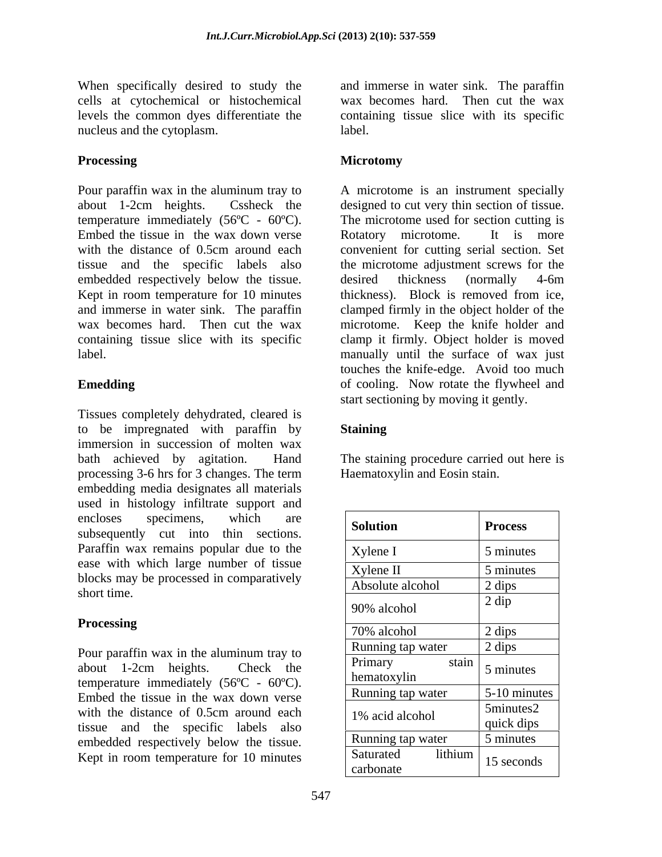cells at cytochemical or histochemical nucleus and the cytoplasm. Iabel.

Pour paraffin wax in the aluminum tray to A microtome is an instrument specially about 1-2cm heights. Cssheck the designed to cut very thin section of tissue. temperature immediately (56 $\textdegree$ C - 60 $\textdegree$ C). The microtome used for section cutting is Embed the tissue in the wax down verse Rotatory microtome. It is more with the distance of 0.5cm around each convenient for cutting serial section. Set tissue and the specific labels also the microtome adjustment screws for the embedded respectively below the tissue. desired thickness (normally 4-6m Kept in room temperature for 10 minutes thickness). Block is removed from ice, and immerse in water sink. The paraffin clamped firmly in the object holderof the wax becomes hard. Then cut the wax microtome. Keep the knife holder and containing tissue slice with its specific clamp it firmly. Object holder is moved label. manually until the surface of wax just

Tissues completely dehydrated, cleared is to be impregnated with paraffin by immersion in succession of molten wax bath achieved by agitation. Hand The staining procedure carried out here is processing 3-6 hrs for 3 changes. The term embedding media designates all materials used in histology infiltrate support and encloses specimens, which are subsequently cut into thin sections. Paraffin wax remains popular due to the ease with which large number of tissue blocks may be processed in comparatively

When specifically desired to study the and immerse in water sink. The paraffin levels the common dyes differentiate the containing tissue slice with its specific wax becomes hard. Then cut the wax label. **If** the contract of the contract of the contract of the contract of the contract of the contract of the contract of the contract of the contract of the contract of the contract of the contract of the contract of th

### **Processing Microtomy Microtomy Microtomy**

**Emedding Emedding Emedding Emedding Emedding Emedding Emergency Emerged Emergency Emerged Emerged Emerged Emerged Emerged Emerged Emerged Emerged Emerged Emerged Emerged Emerged E** Rotatory microtome. It is more desired thickness (normally 4-6m thickness). Block is removed from ice, touches the knife-edge. Avoid too much start sectioning by moving it gently.

### **Staining**

Haematoxylin and Eosin stain.

| which<br>are<br>specimens,<br>subsequently cut into thin sections.                                              | Solution                          | <b>Process</b>          |
|-----------------------------------------------------------------------------------------------------------------|-----------------------------------|-------------------------|
| Paraffin wax remains popular due to the                                                                         | Xylene I                          | 5 minutes               |
| ease with which large number of tissue<br>blocks may be processed in comparatively                              | Xylene II                         | 5 minutes               |
|                                                                                                                 | Absolute alcohol                  | 2 dips                  |
|                                                                                                                 | 90% alcohol                       | $2 \text{ dip}$         |
|                                                                                                                 | 70% alcohol                       | 2 dips                  |
| Pour paraffin wax in the aluminum tray to                                                                       | Running tap water                 | 2 dips                  |
|                                                                                                                 | Primary<br>hematoxylin            | stain<br>5 minutes      |
| temperature immediately $(56^{\circ}\text{C} - 60^{\circ}\text{C})$ .<br>Embed the tissue in the wax down verse | Running tap water                 | 5-10 minutes            |
|                                                                                                                 | 1% acid alcohol                   | 5minutes2<br>quick dips |
|                                                                                                                 | Running tap water                 | 5 minutes               |
| embedded respectively below the tissue.<br>Kept in room temperature for 10 minutes                              | Saturated<br>lithium<br>carbonate | 15 seconds              |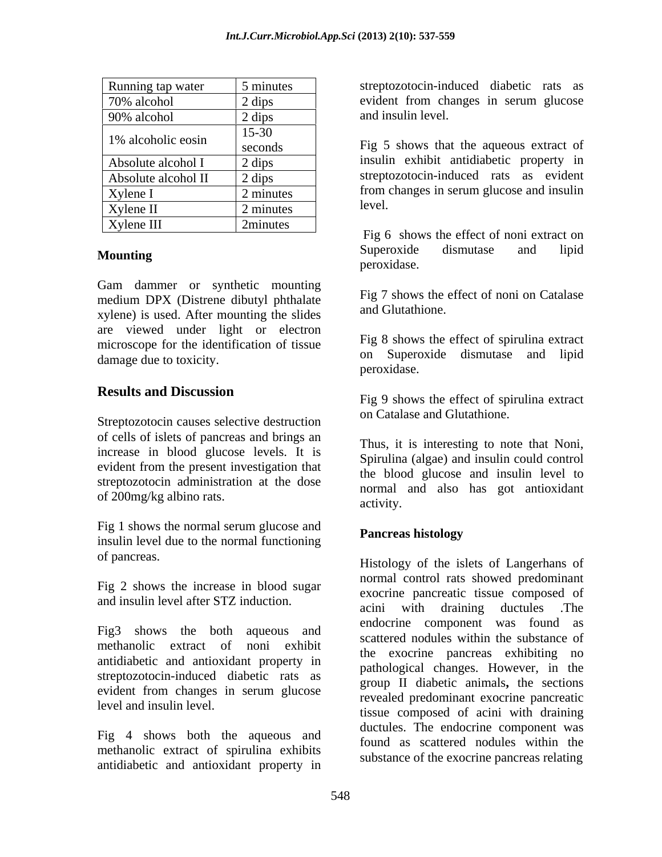| Running tap water   | 5 minutes        | streptozotocin-induced diabetic rats as                    |  |
|---------------------|------------------|------------------------------------------------------------|--|
| 70% alcohol         | $2 \text{ dips}$ | evident from changes in serum glucose                      |  |
| 90% alcohol         | 2 dips           | and insulin level.                                         |  |
| 1% alcoholic eosin  | $15 - 30$        |                                                            |  |
|                     | seconds          | Fig. 5 shows that the aqueous extract of                   |  |
| Absolute alcohol I  | $2 \text{ dips}$ | insulin exhibit antidiabetic property in                   |  |
| Absolute alcohol II | 2 dips           | streptozotocin-induced rats as evident                     |  |
| Xylene I            | 2 minutes        | from changes in serum glucose and insulin                  |  |
| Xylene II           | 2 minutes        | level.                                                     |  |
| Xylene III          | <b>2minutes</b>  | $\Gamma'$ $\ell$ 1 d $\Gamma'$ $\ell$ $\ell$ $\ell$ $\ell$ |  |

Gam dammer or synthetic mounting medium DPX (Distrene dibutyl phthalate xylene) is used. After mounting the slides are viewed under light or electron microscope for the identification of tissue damage due to toxicity. The contract of the contract of the supercentricity.

### **Results and Discussion**

Streptozotocin causes selective destruction of cells of islets of pancreas and brings an increase in blood glucose levels. It is evident from the present investigation that streptozotocin administration at the dose of 200mg/kg albino rats.

Fig 1 shows the normal serum glucose and<br>
Pancreas histology insulin level due to the normal functioning

Fig 2 shows the increase in blood sugar

antidiabetic and antioxidant property in streptozotocin-induced diabetic rats as evident from changes in serum glucose

Fig 4 shows both the aqueous and methanolic extract of spirulina exhibits antidiabetic and antioxidant property in

Running tap water  $\begin{array}{|c|c|c|c|c|} \hline 5 \text{ minutes} & \text{streptozotocin-induced diabetic rats as} \hline \end{array}$ 70% alcohol 2 dips evident from changes in serum glucose and insulin level.

seconds Fig 5 shows that the aqueous extract of Absolute alcohol I 2 dips insulin exhibit antidiabetic property in Absolute alcohol II 2 dips streptozotocin-induced rats as evident Xylene I 2 minutes from changes in serum glucose and insulin level.

**Mounting** and the superoxide distinuities and the state of the superoxide distinuities and the state of the state of the state of the state of the state of the state of the state of the state of the state of the state of Fig 6 shows the effect of noni extract on Superoxide dismutase and lipid peroxidase.

> Fig 7 shows the effect of noni on Catalase and Glutathione.

Fig 8 shows the effect of spirulina extract on Superoxide dismutase and lipid peroxidase.

Fig 9 shows the effect of spirulina extract on Catalase and Glutathione.

Thus, it is interesting to note that Noni, Spirulina (algae) and insulin could control the blood glucose and insulin level to normal and also has got antioxidant activity.

### **Pancreas histology**

of pancreas. Histology of the islets of Langerhans of and insulin level after STZ induction.<br>acini with draining ductules .The Fig3 shows the both aqueous and endocrine component was found as methanolic extract of noni exhibit<br>the exocrine pancreas exhibiting no<br>extidiologies and entimidant approach in level and insulin level. tissue composed of acini with draining normal control rats showed predominant exocrine pancreatic tissue composed of acini with draining ductules .The endocrine component was found as scattered nodules within the substance of pathological changes. However, in the group II diabetic animals**,** the sections revealed predominant exocrine pancreatic ductules. The endocrine component was found as scattered nodules within the substance of the exocrine pancreas relating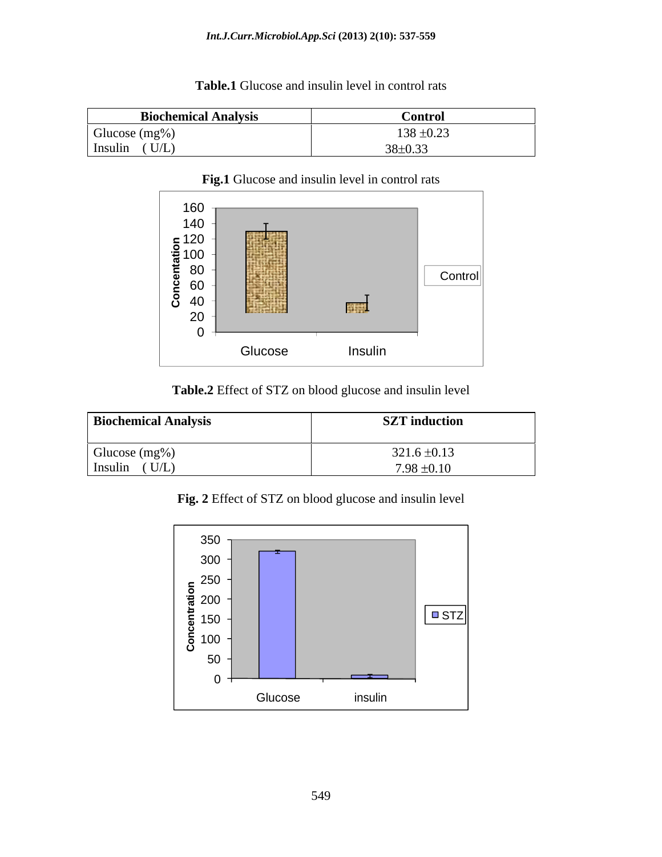### *Int.J.Curr.Microbiol.App.Sci* **(2013) 2(10): 537-559**

## **Table.1** Glucose and insulin level in control rats

| $\sim$ $\sim$<br><b>Biochemical Analysis</b> | <b>Control</b>                                                         |
|----------------------------------------------|------------------------------------------------------------------------|
| Glucose $(mg)$                               | $\sim$<br>$\sim$ $\sim$ $\sim$<br>$\sim$<br>$3x + U$<br>$130 \pm 0.23$ |
| $'$ U/L<br>' Insulin                         | $\sim$ $\sim$ $\sim$<br>$\leftrightarrow$<br>$50 - 0.55$               |



### **Fig.1** Glucose and insulin level in control rats

**Table.2** Effect of STZ on blood glucose and insulin level

### **Fig. 2** Effect of STZ on blood glucose and insulin level

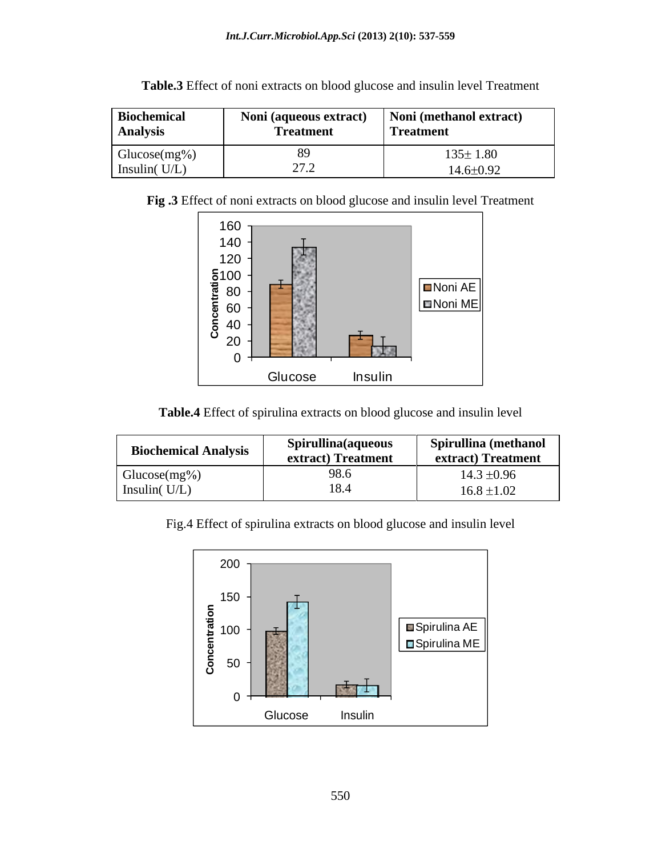**Table.3** Effect of noni extracts on blood glucose and insulin level Treatment

**Fig .3** Effect of noni extracts on blood glucose and insulin level Treatment



**Table.4** Effect of spirulina extracts on blood glucose and insulin level

| <b>Biochemical Analysis</b>        | Spirullina(aqueous<br>Spirullina (methanol<br>extract) Treatment<br>extract) Treatment |
|------------------------------------|----------------------------------------------------------------------------------------|
| $Glucose(mg\%)$<br>Insulin $(U/L)$ | 98.6<br>$14.3 \pm 0.96$<br>18.4<br>$16.8 \pm 1.02$                                     |

Fig.4 Effect of spirulina extracts on blood glucose and insulin level

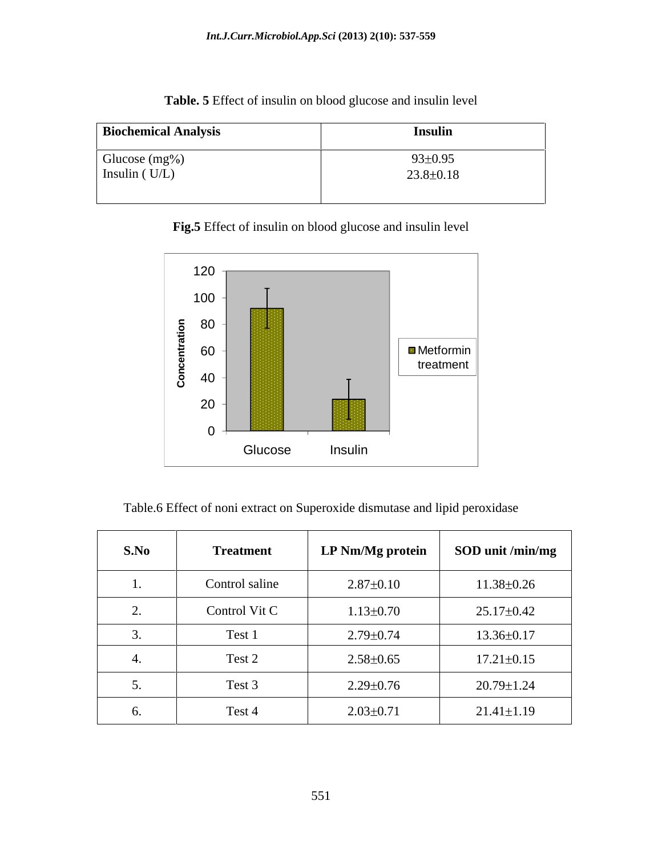**Table. 5** Effect of insulin on blood glucose and insulin level

### **Fig.5** Effect of insulin on blood glucose and insulin level



Table.6 Effect of noni extract on Superoxide dismutase and lipid peroxidase

| S.No     | <b>Treatment</b> | LP Nm/Mg protein | SOD unit /min/mg |
|----------|------------------|------------------|------------------|
|          | Control saline   | $2.87{\pm}0.10$  | $11.38 \pm 0.26$ |
| ∠.       | Control Vit C    | $1.13 \pm 0.70$  | 25.17±0.42       |
| $\cup$ . | Test 1           | $2.79 \pm 0.74$  | 13.36±0.17       |
| ┭.       | Test 2           | $2.58 \pm 0.65$  | $17.21 \pm 0.15$ |
| . J .    | Test 3           | $2.29 \pm 0.76$  | $20.79 \pm 1.24$ |
| O.       | Test 4           | $2.03 \pm 0.71$  | $21.41 \pm 1.19$ |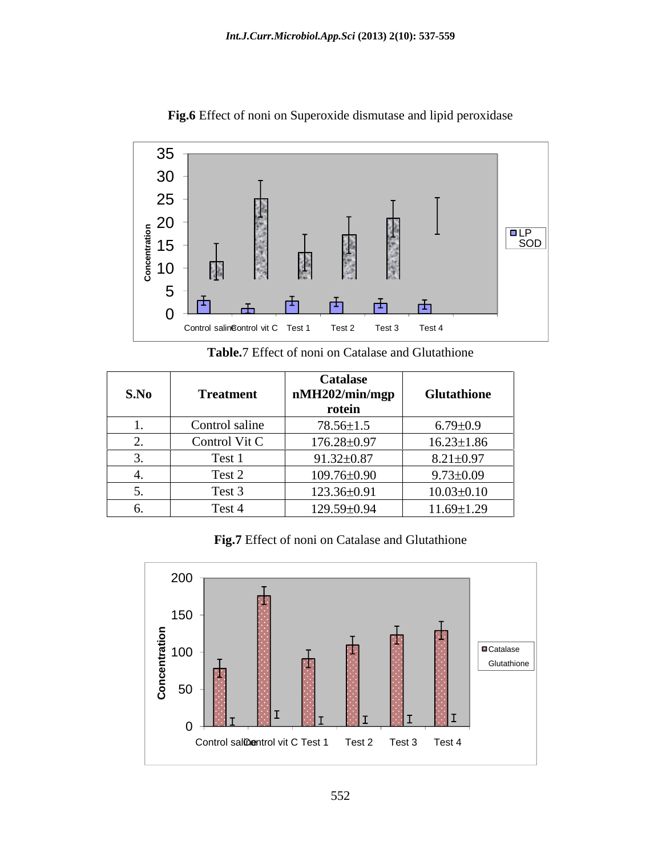

**Fig.6** Effect of noni on Superoxide dismutase and lipid peroxidase

**Table.**7 Effect of noni on Catalase and Glutathione

| S.No | <b>Treatment</b> | <b>Catalase</b><br>$n$ MH202/min/mgp<br>rotein | Glutathione      |
|------|------------------|------------------------------------------------|------------------|
| . .  | Control saline   | 78.56±1.5                                      | $6.79 \pm 0.9$   |
|      | Control Vit C    | 176.28±0.97                                    | $16.23 \pm 1.86$ |
|      | Test 1           | 91.32±0.87                                     | $8.21 \pm 0.97$  |
|      | Test 2           | 109.76±0.90                                    | $9.73 \pm 0.09$  |
|      | Test 3           | 123.36±0.91                                    | $10.03 \pm 0.10$ |
|      | Test 4           | 129.59±0.94                                    | $11.69 \pm 1.29$ |

**Fig.7** Effect of noni on Catalase and Glutathione

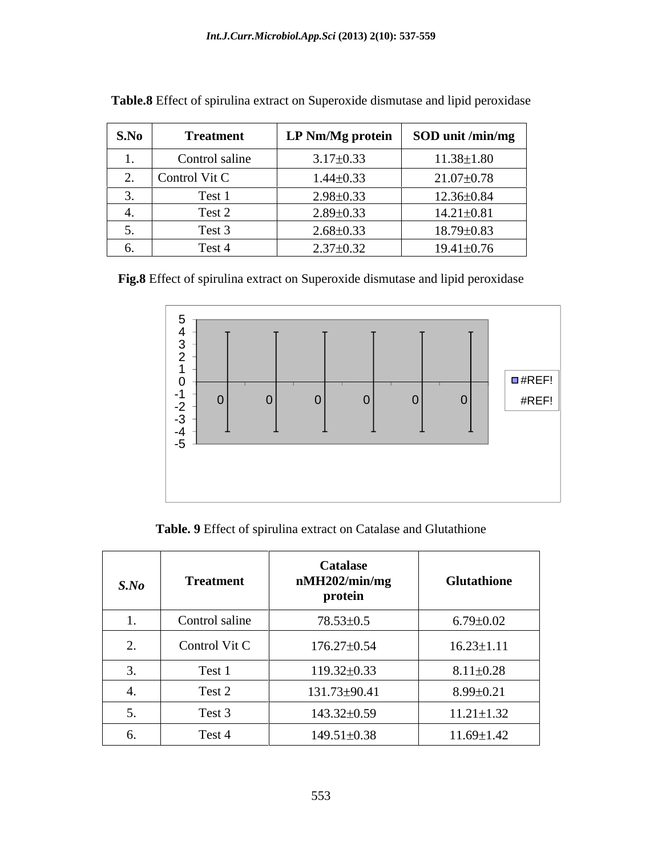| S.No      | <b>Treatment</b> | LP Nm/Mg protein | $\frac{1}{2}$ SOD unit /min/mg $\frac{1}{2}$ |
|-----------|------------------|------------------|----------------------------------------------|
| <b>1.</b> | Control saline   | $3.17 \pm 0.33$  | $11.38 \pm 1.80$                             |
|           | 2. Control Vit C | $1.44 \pm 0.33$  | $21.07 \pm 0.78$                             |
|           | Test             | $2.98 \pm 0.33$  | 12.36±0.84                                   |
|           | Test 2           | $2.89 \pm 0.33$  | $14.21 \pm 0.81$                             |
| J.        | Test :           | $2.68 \pm 0.33$  | 18.79±0.83                                   |
| v.        | Test 4           | $2.37 \pm 0.32$  | $19.41 \pm 0.76$                             |

**Table.8** Effect of spirulina extract on Superoxide dismutase and lipid peroxidase

**Fig.8** Effect of spirulina extract on Superoxide dismutase and lipid peroxidase



**Table. 9** Effect of spirulina extract on Catalase and Glutathione

| S.No                       | <b>Treatment</b> | <b>Catalase</b><br>nMH202/min/mg<br>protein | <b>Glutathione</b> |
|----------------------------|------------------|---------------------------------------------|--------------------|
|                            | Control saline   | 78.53±0.5                                   | $6.79 \pm 0.02$    |
| $\overline{\phantom{a}}$ . | Control Vit C    | 176.27±0.54                                 | $16.23 \pm 1.11$   |
| J.                         | Test 1           | $119.32 \pm 0.33$                           | $8.11 \pm 0.28$    |
|                            | Test 2           | 131.73±90.41                                | $8.99 \pm 0.21$    |
| $\cup$ .                   | Test 3           | 143.32±0.59                                 | $11.21 \pm 1.32$   |
| $\sigma$ .                 | Test 4           | 149.51±0.38                                 | $11.69 \pm 1.42$   |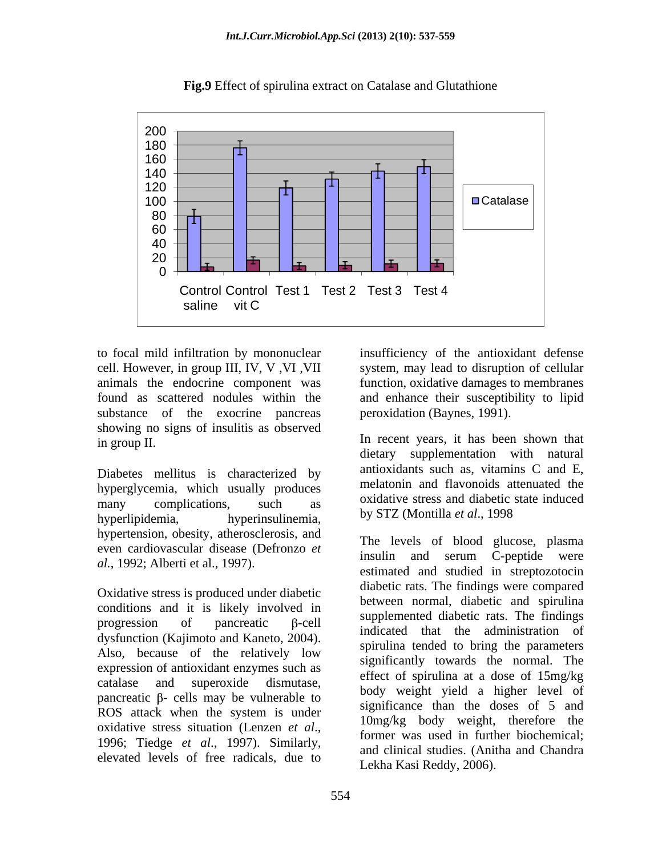

**Fig.9** Effect of spirulina extract on Catalase and Glutathione

substance of the exocrine pancreas showing no signs of insulitis as observed

Diabetes mellitus is characterized by hyperglycemia, which usually produces hyperlipidemia, hyperinsulinemia, hypertension, obesity, atherosclerosis, and even cardiovascular disease (Defronzo *et al.*, 1992; Alberti et al., 1997).

Oxidative stress is produced under diabetic conditions and it is likely involved in dysfunction (Kajimoto and Kaneto, 2004). Also, because of the relatively low expression of antioxidant enzymes such as pancreatic  $\beta$ - cells may be vulnerable to ROS attack when the system is under elevated levels of free radicals, due to

to focal mild infiltration by mononuclear insufficiency of the antioxidant defense cell. However, in group III, IV, V ,VI ,VII system, may lead to disruption of cellular animals the endocrine component was function, oxidative damages to membranes found as scattered nodules within the and enhance their susceptibility to lipid peroxidation (Baynes, 1991).

in group II. In recent years, it has been shown that many complications, such as <sup>oxidative</sup> stress and diabelic state induced dietary supplementation with natural antioxidants such as, vitamins C and E, melatonin and flavonoids attenuated the oxidative stress and diabetic state induced by STZ (Montilla *et al*., 1998

progression of pancreatic  $\beta$ -cell suppremented that the edministration of catalase and superoxide dismutase, and critical product in the spin of oxidative stress situation (Lenzen *et al.*, 1996; Tiedge *et al.*, 1997). Similarly, and clinical ctudies (Anithe and Chandra) The levels of blood glucose, plasma insulin and serum C-peptide were estimated and studied in streptozotocin diabetic rats. The findings were compared between normal, diabetic and spirulina supplemented diabetic rats. The findings indicated that the administration of spirulina tended to bring the parameters significantly towards the normal. The effect of spirulina at a dose of 15mg/kg body weight yield a higher level of significance than the doses of 5 and 10mg/kg body weight, therefore the former was used in further biochemical; and clinical studies. (Anitha and Chandra Lekha Kasi Reddy, 2006).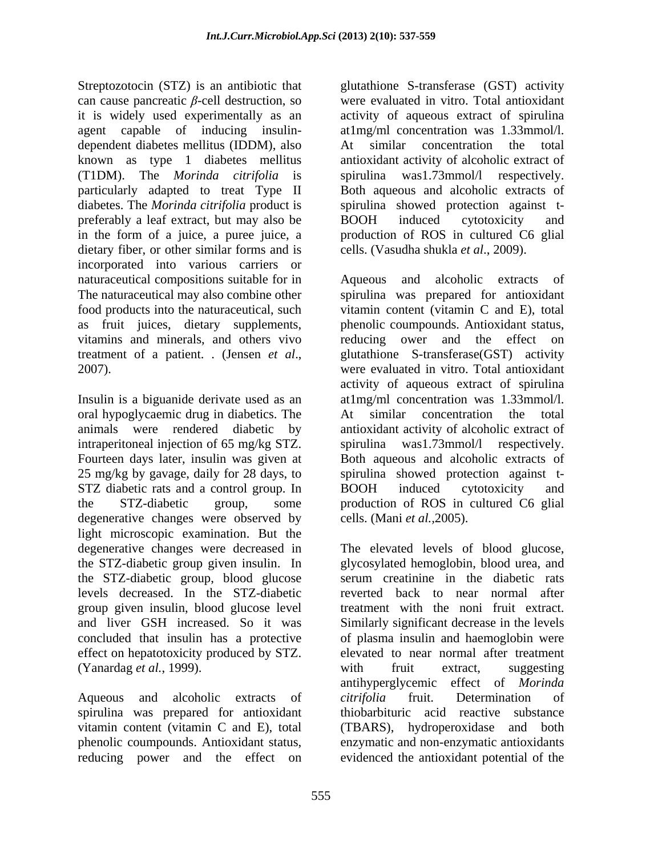Streptozotocin (STZ) is an antibiotic that glutathione S-transferase (GST) activity can cause pancreatic  $\beta$ -cell destruction, so were evaluated in vitro. Total antioxidant it is widely used experimentally as an activity of aqueous extract of spirulina agent capable of inducing insulin- at1mg/ml concentration was 1.33mmol/l. dependent diabetes mellitus (IDDM), also known as type 1 diabetes mellitus (T1DM). The *Morinda citrifolia* is spirulina was1.73mmol/l respectively. particularly adapted to treat Type II Both aqueous and alcoholic extracts of diabetes. The *Morinda citrifolia* product is spiruling showed protection against tpreferably a leaf extract, but may also be BOOH induced cytotoxicity and in the form of a juice, a puree juice, a production of ROS in cultured C6 glial dietary fiber, or other similar forms and is incorporated into various carriers or naturaceutical compositions suitable for in The naturaceutical may also combine other spirulina was prepared for antioxidant food products into the naturaceutical, such vitamin content (vitamin C and E), total as fruit juices, dietary supplements, phenolic coumpounds. Antioxidant status, vitamins and minerals, and others vivo reducing ower and the effect on treatment of a patient. . (Jensen *et al.*, glutathione S-transferase(GST) activity<br>2007). were evaluated in vitro. Total antioxidant

Insulin is a biguanide derivate used as an at1mg/ml concentration was 1.33mmol/l. oral hypoglycaemic drug in diabetics. The animals were rendered diabetic by antioxidant activity of alcoholic extract of intraperitoneal injection of 65 mg/kg STZ. spirulina was1.73mmol/l respectively. Fourteen days later, insulin was given at Both aqueous and alcoholic extracts of 25 mg/kg by gavage, daily for 28 days, to STZ diabetic rats and a control group. In BOOH induced cytotoxicity and the STZ-diabetic group, some production of ROS in cultured C6 glial degenerative changes were observed by light microscopic examination. But the the STZ-diabetic group given insulin. In the STZ-diabetic group, blood glucose levels decreased. In the STZ-diabetic (Yanardag *et al.*, 1999). with fruit extract, suggesting

Aqueous and alcoholic extracts of *citrifolia* fruit. Determination of spirulina was prepared for antioxidant

similar concentration the total antioxidant activity of alcoholic extract of spirulina showed protection against t-BOOH induced cytotoxicity and cells. (Vasudha shukla *et al*., 2009).

and alcoholic extracts of reducing ower and the effect glutathione S-transferase(GST) activity were evaluated in vitro. Total antioxidant activity of aqueous extract of spirulina At similar concentration the total spirulina showed protection against t- BOOH induced cytotoxicity and cells. (Mani *et al.,*2005).

degenerative changes were decreased in The elevated levels of blood glucose, group given insulin, blood glucose level treatment with the noni fruit extract. and liver GSH increased. So it was Similarly significant decrease in the levels concluded that insulin has a protective of plasma insulin and haemoglobin were effect on hepatotoxicity produced by STZ. elevated to near normal after treatment vitamin content (vitamin C and E), total (TBARS), hydroperoxidase and both phenolic coumpounds. Antioxidant status, enzymatic and non-enzymatic antioxidants reducing power and the effect on evidenced the antioxidant potential of theglycosylated hemoglobin, blood urea, and serum creatinine in the diabetic rats reverted back to near normal after with fruit extract, suggesting antihyperglycemic effect of *Morinda citrifolia* fruit. Determination of thiobarbituric acid reactive substance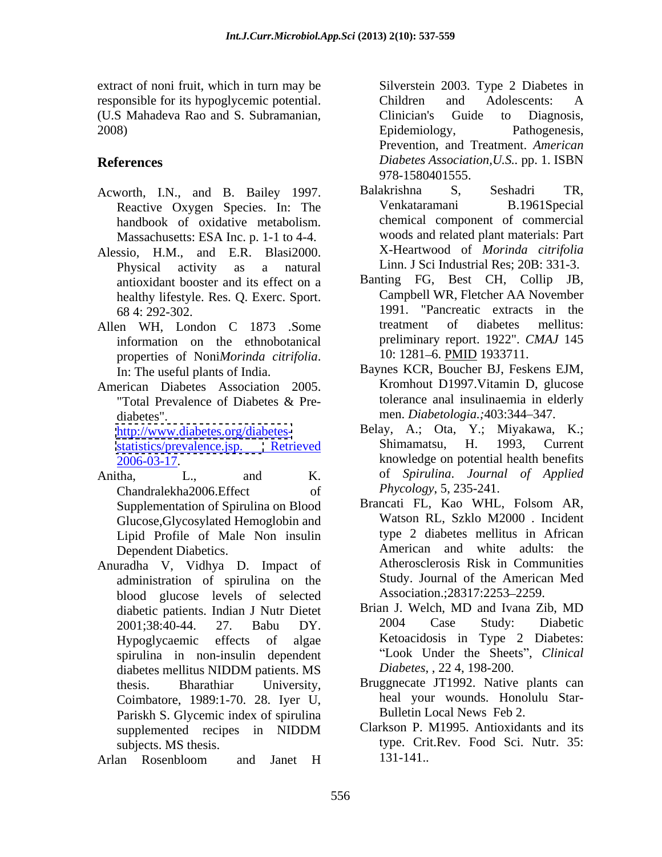extract of noni fruit, which in turn may be responsible for its hypoglycemic potential. Children and Adolescents: A (U.S Mahadeva Rao and S. Subramanian, 2008) Epidemiology, Pathogenesis,

- Reactive Oxygen Species. In: The handbook of oxidative metabolism. Massachusetts: ESA Inc. p. 1-1 to 4-4.
- Alessio, H.M., and E.R. Blasi2000. Physical activity as a natural Linn. J Sci Industrial Res; 20B: 331-3. healthy lifestyle. Res. Q. Exerc. Sport.
- information on the ethnobotanical preliminary report. 1922". Converties of Noni*Morinda citrifolia*. 10: 1281–6. PMID 1933711. properties of Noni*Morinda citrifolia*. IO: 1281–6. PMID 1933711.<br>In: The useful plants of India. Baynes KCR, Boucher BJ, Feskens EJM,
- American Diabetes Association 2005.

- Chandralekha2006.Effect of *Phycology*, 5, 235-241.<br>
Supplementation of Spirulina on Blood Brancati FL, Kao WHL, Folsom AR, Supplementation of Spirulina on Blood Glucose,Glycosylated Hemoglobin and Lipid Profile of Male Non insulin
- Anuradha V, Vidhya D. Impact of administration of spirulina on the blood glucose levels of selected spirulina in non-insulin dependent diabetes mellitus NIDDM patients. MS Coimbatore, 1989:1-70. 28. Iyer U, Pariskh S. Glycemic index of spirulina
- Arlan Rosenbloom and Janet H

**References** *Diabetes Association,U.S..* pp. 1. ISBN Silverstein 2003. Type 2 Diabetes in Children and Adolescents: A Clinician's Guide to Diagnosis, Epidemiology, Pathogenesis, Prevention, and Treatment. *American*  978-1580401555.

- Acworth, I.N., and B. Bailey 1997. Balakrishna S, Seshadri TR,<br>Reactive Oxygen Species In: The Venkataramani B.1961Special Balakrishna S, Seshadri TR, Venkataramani B.1961Special chemical component of commercial woods and related plant materials: Part X-Heartwood of *Morinda citrifolia*
- antioxidant booster and its effect on a Banting FG, Best CH, Collip JB, 68 4: 292-302. 1991. "Pancreatic extracts in the Allen WH, London C 1873 .Some treatment of diabetes mellitus: Campbell WR, Fletcher AA November treatment of diabetes mellitus: preliminary report. 1922". *CMAJ* 145 10: 1281–6. **PMID** 1933711.
	- "Total Prevalence of Diabetes & Pre-<br>tolerance anal insulinaemia in elderly Baynes KCR, Boucher BJ, Feskens EJM, Kromhout D1997.Vitamin D, glucose tolerance anal insulinaemia in elderly men. *Diabetologia.*; 403:344-347.
- diabetes".<br><http://www.diabetes.org/diabetes-> Belay, A.; Ota, Y.; Miyakawa, K.; [statistics/prevalence.jsp.](statistics/prevalence.jsp) Retrieved Shimamatsu, H. 1993, Current 2006-03-17. knowledge on potential health benefits Anitha, L., and K. of *Spirulina*. *Journal of Applied* Shimamatsu, H. 1993, Current
	- Dependent Diabetics. American and white adults: the *Phycology*, 5, 235-241. Brancati FL, Kao WHL, Folsom AR, Watson RL, Szklo M2000 . Incident type 2 diabetes mellitus in African Atherosclerosis Risk in Communities Study. Journal of the American Med Association.; 28317: 2253–2259.
	- diabetic patients. Indian J Nutr Dietet Brian J. Welch, MD and Ivana Zib, MD<br>2001.38.40-44 27 Babu DY 2004 Case Study: Diabetic 2001;38:40-44. 27. Babu DY. Hypoglycaemic effects of algae Ketoacidosis in Type 2 Diabetes: Brian J. Welch, MD and Ivana Zib, MD 2004 Case Study: Diabetic "Look Under the Sheets", *Clinical Diabetes*, , 22 4, 198-200.
	- thesis. Bharathiar University, Bruggnecate JT1992. Native plants can heal your wounds. Honolulu Star- Bulletin Local News Feb 2.
	- supplemented recipes in NIDDM Clarkson P. M1995. Antioxidants and its subjects. MS thesis. type. Crit.Rev. Food Sci. Nutr. 35: Clarkson P. M1995. Antioxidants and its 131-141..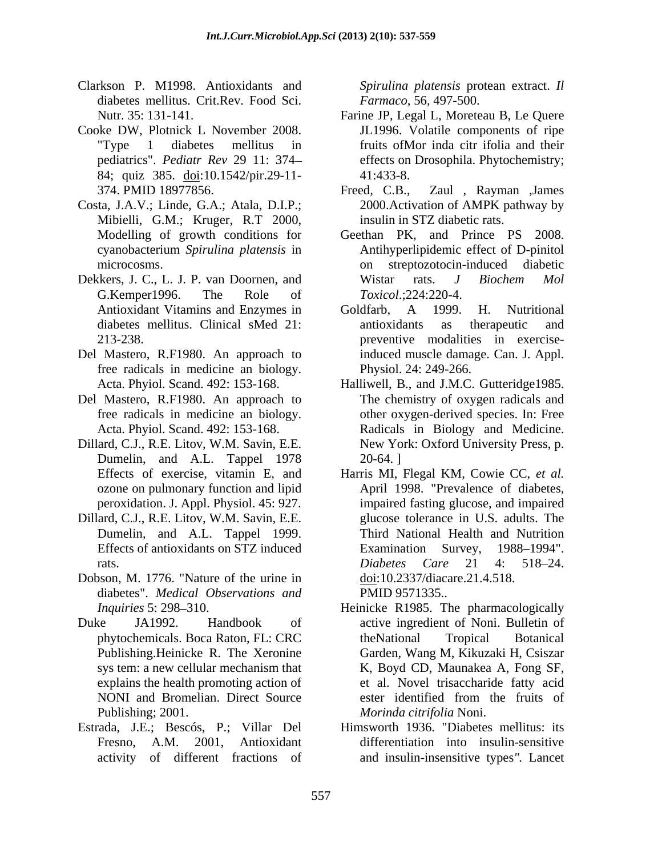- Clarkson P. M1998. Antioxidants and *Spirulina platensis* protean extract. *Il*  diabetes mellitus. Crit.Rev. Food Sci. Farmaco, 56, 497-500.
- Cooke DW, Plotnick L November 2008. 84; quiz 385.doi:10.1542/pir.29-11-
- Costa, J.A.V.; Linde, G.A.; Atala, D.I.P.; Mibielli, G.M.; Kruger, R.T 2000, Modelling of growth conditions for
- Dekkers, J. C., L. J. P. van Doornen, and Wistar rats. J Biochem Mol
- Del Mastero, R.F1980. An approach to free radicals in medicine an biology.
- Del Mastero, R.F1980. An approach to
- Dillard, C.J., R.E. Litov, W.M. Savin, E.E. Dumelin, and A.L. Tappel 1978 ozone on pulmonary function and lipid
- Dillard, C.J., R.E. Litov, W.M. Savin, E.E.
- Dobson, M. 1776. "Nature of the urine in doi:10.2337/diacare.21.4.518. diabetes". *Medical Observations and*
- explains the health promoting action of
- Estrada, J.E.; Bescós, P.; Villar Del Himsworth 1936. "Diabetes mellitus: its

- Nutr. 35: 131-141. Farine JP, Legal L, Moreteau B, Le Quere "Type 1 diabetes mellitus in fruits ofMor inda citr ifolia and their pediatrics". *Pediatr Rev* 29 11: 374 effects on Drosophila. Phytochemistry; *Farmaco*, 56, 497-500. Farine JP, Legal L, Moreteau B, Le Quere JL1996. Volatile components of ripe 41:433-8.
- 374. PMID 18977856. Freed, C.B., Zaul , Rayman ,James 2000.Activation of AMPK pathway by insulin in STZ diabetic rats.
- cyanobacterium *Spirulina platensis* in Antihyperlipidemic effect of D-pinitol microcosms. on streptozotocin-induced diabetic G.Kemper1996. The Role of *Toxicol*.;224:220-4. Geethan PK, and Prince PS 2008. Wistar rats. *J Biochem Mol Toxicol*.;224:220-4.
- Antioxidant Vitamins and Enzymes in Goldfarb, A 1999. H. Nutritional diabetes mellitus. Clinical sMed 21: 213-238. preventive modalities in exercise-Goldfarb, A 1999. H. Nutritional antioxidants as therapeutic and induced muscle damage. Can. J. Appl. Physiol. 24: 249-266.
- Acta. Phyiol. Scand. 492: 153-168. Halliwell, B., and J.M.C. Gutteridge1985. free radicals in medicine an biology. other oxygen-derived species. In: Free Acta. Phyiol. Scand. 492: 153-168. Radicals in Biology and Medicine. The chemistry of oxygen radicals and New York: Oxford University Press, p. 20-64. ]
- Effects of exercise, vitamin E, and Harris MI, Flegal KM, Cowie CC, *et al.* peroxidation. J. Appl. Physiol. 45: 927. impaired fasting glucose, and impaired Dumelin, and A.L. Tappel 1999. Third National Health and Nutrition Effects of antioxidants on STZ induced<br>Examination Survey, 1988–1994". rats. Diabetes Care 21 4: 518–24. April 1998. "Prevalence of diabetes, glucose tolerance in U.S. adults. The Examination Survey, 1988–1994". *Diabetes Care* 21 4: 518–24. <u>doi</u>:10.2337/diacare.21.4.518.<br>PMID 9571335..
- *Inquiries* 5: 298–310. The pharmacologically **Heinicke R1985**. The pharmacologically Duke JA1992. Handbook of active ingredient of Noni. Bulletin of phytochemicals. Boca Raton, FL: CRC Publishing.Heinicke R. The Xeronine Garden, Wang M, Kikuzaki H, Csiszar sys tem: a new cellular mechanism that K, Boyd CD, Maunakea A, Fong SF, NONI and Bromelian. Direct Source Publishing; 2001. *Morinda citrifolia* Noni. theNational Tropical Botanical et al. Novel trisaccharide fatty acid ester identified from the fruits of
	- Fresno, A.M. 2001, Antioxidant differentiation into insulin-sensitive activity of different fractions of and insulin-insensitive types*".* Lancet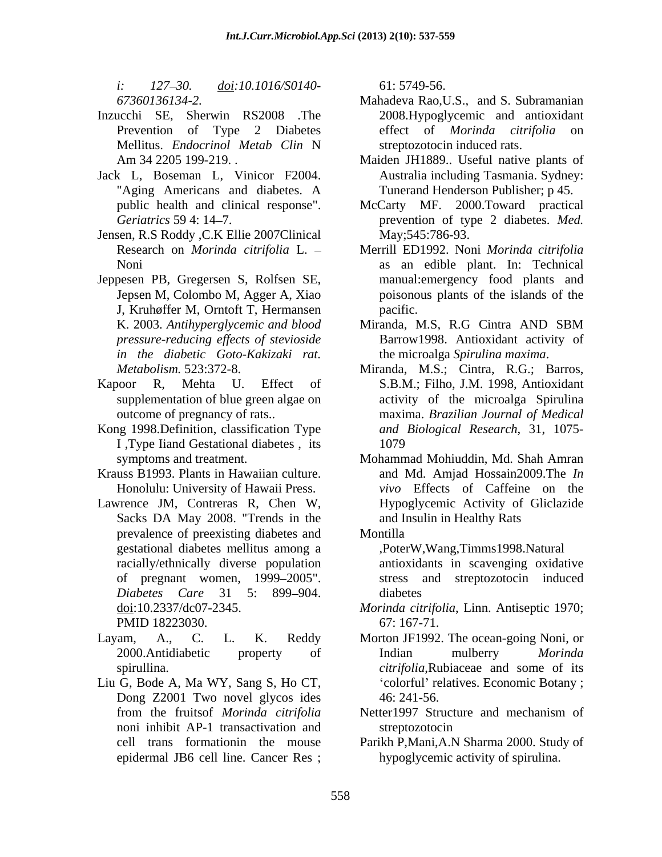*i: 127 30. doi:10.1016/S0140-*

- Inzucchi SE, Sherwin RS2008 .The Mellitus. *Endocrinol Metab Clin* N
- 
- Jensen, R.S Roddy ,C.K Ellie 2007Clinical
- Jeppesen PB, Gregersen S, Rolfsen SE, J, Kruhøffer M, Orntoft T, Hermansen *in the diabetic Goto-Kakizaki rat. Metabolism.* 523:372-8. the microalga *Spirulina maxima*. Miranda, M.S.; Cintra, R.G.; Barros,
- 
- Kong 1998.Definition, classification Type I ,Type Iiand Gestational diabetes , its
- Krauss B1993. Plants in Hawaiian culture.
- Lawrence JM, Contreras R, Chen W, Sacks DA May 2008. "Trends in the prevalence of preexisting diabetes and gestational diabetes mellitus among a *Diabetes Care* 31 5: 899–904. diabetes
- Layam, A., C. L. K. Reddy Morton JF1992. The ocean-going Noni, or
- Liu G, Bode A, Ma WY, Sang S, Ho CT, Dong Z2001 Two novel glycos ides 46: 241-56. noni inhibit AP-1 transactivation and epidermal JB6 cell line. Cancer Res ;

61: 5749-56.

- *67360136134-2.* Mahadeva Rao,U.S., and S. Subramanian Prevention of Type 2 Diabetes effect of *Morinda citrifolia* on 2008.Hypoglycemic and antioxidant effect of *Morinda citrifolia* streptozotocin induced rats.
- Am 34 2205 199-219. . Jack L, Boseman L, Vinicor F2004. "Aging Americans and diabetes. <sup>A</sup> Maiden JH1889.. Useful native plants of Australia including Tasmania. Sydney: Tunerand Henderson Publisher; p 45.
	- public health and clinical response". McCarty MF. 2000.Toward practical Geriatrics 59 4: 14–7. **prevention** of type 2 diabetes. *Med.* The same of type 2 diabetes. *Med.* May;545:786-93.
	- Research on *Morinda citrifolia* L. Merrill ED1992. Noni *Morinda citrifolia* Noni as an edible plant. In: Technical Jepsen M, Colombo M, Agger A, Xiao poisonous plants of the islands of the manual:emergency food plants and pacific. The contract of the contract of the contract of the contract of the contract of the contract of the contract of the contract of the contract of the contract of the contract of the contract of the contract of the c
	- K. 2003. *Antihyperglycemic and blood pressure-reducing ef ects of stevioside* Barrow1998. Antioxidant activity of Miranda, M.S, R.G Cintra AND SBM
- Kapoor R, Mehta U. Effect of S.B.M.; Filho, J.M. 1998, Antioxidant supplementation of blue green algae on activity of the microalga Spirulina outcome of pregnancy of rats.. maxima. *Brazilian Journal of Medical and Biological Research*, 31, 1075- 1079
	- symptoms and treatment. Mohammad Mohiuddin, Md. Shah Amran Honolulu: University of Hawaii Press. *vivo* Effects of Caffeine on the and Md. Amjad Hossain2009.The *In*  Hypoglycemic Activity of Gliclazide and Insulin in Healthy Rats
		- Montilla **Montilla**

racially/ethnically diverse population antioxidants in scavenging oxidative of pregnant women, 1999 2005". stress and streptozotocin induced ,PoterW,Wang,Timms1998.Natural diabetes **diabetes** 

- <u>doi</u>:10.2337/dc07-2345. *Morinda citrifolia*, Linn. Antiseptic 1970;<br>PMID 18223030. 67: 167-71. *Morinda citrifolia*, Linn. Antiseptic 1970; 67: 167-71.
- 2000.Antidiabetic property of Indian mulberry *Morinda* spirullina. *citrifolia*,Rubiaceae and some of its Indian mulberry *Morinda*  'colorful' relatives. Economic Botany; 46: 241-56.
- from the fruitsof *Morinda citrifolia* Netter1997 Structure and mechanism of streptozotocin
- cell trans formationin the mouse Parikh P,Mani,A.N Sharma 2000. Study of hypoglycemic activity of spirulina.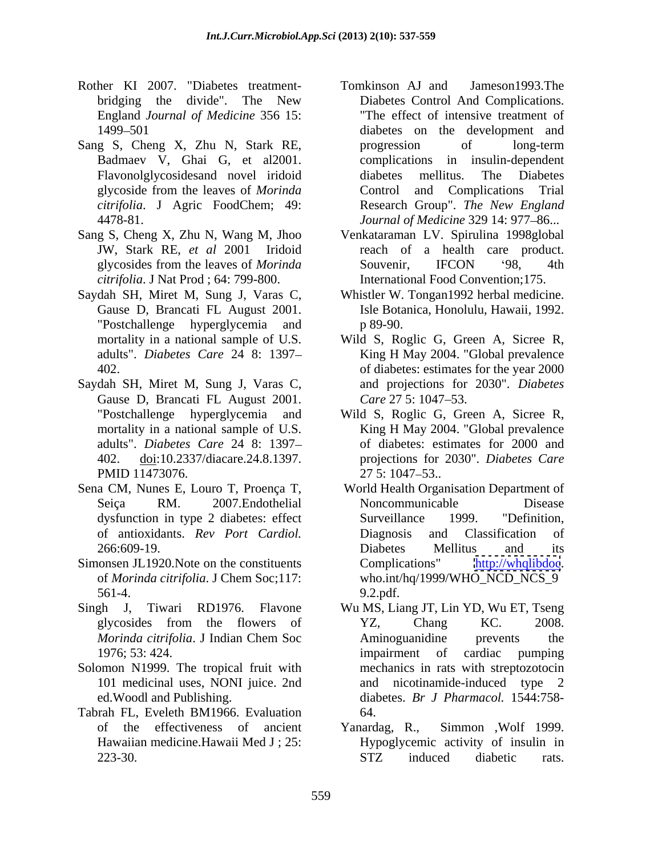- Rother KI 2007. "Diabetes treatment-<br>
Tomkinson AJ and Jameson1993. The England *Journal of Medicine* 356 15:
- Sang S, Cheng X, Zhu N, Stark RE, Badmaev V, Ghai G, et al2001.
- Sang S, Cheng X, Zhu N, Wang M, Jhoo Venkataraman LV. Spirulina 1998global *citrifolia*. J Nat Prod ; 64: 799-800.
- Saydah SH, Miret M, Sung J, Varas C, "Postchallenge hyperglycemia and
- Saydah SH, Miret M, Sung J, Varas C, Gause D, Brancati FL August 2001. Care 27 5: 1047–53.
- Sena CM, Nunes E, Louro T, Proença T, World Health Organisation Department of
- Simonsen JL1920. Note on the constituents Complications http://whalibdoc. of *Morinda citrifolia*. J Chem Soc;117:
- 
- Solomon N1999. The tropical fruit with
- Tabrah FL, Eveleth BM1966. Evaluation 223-30. STZ induced diabetic rats.
- bridging the divide". The New 1499 501 diabetes on the development and Flavonolglycosidesand novel iridoid glycoside from the leaves of *Morinda citrifolia*. J Agric FoodChem; 49: Research Group". *The New England* 4478-81. *Journal of Medicine* 329 14: 977 86... Tomkinson AJ and Jameson1993.The Diabetes Control And Complications. "The effect of intensive treatment of progression of long-term complications in insulin-dependent diabetes mellitus. The Diabetes Control and Complications Trial
- JW, Stark RE, *et al* 2001 Iridoid reach of a health care product. glycosides from the leaves of *Morinda*  Souvenir, IFCON '98, 4th International Food Convention;175.
- Gause D, Brancati FL August 2001. Isle Botanica, Honolulu, Hawaii, 1992. Whistler W. Tongan1992 herbal medicine. p 89-90.
- mortality in a national sample of U.S. Wild S, Roglic G, Green A, Sicree R, adults". *Diabetes Care* 24 8: 1397 King H May 2004. "Global prevalence 402. of diabetes: estimates for the year 2000 and projections for 2030". *Diabetes Care* 27 5: 1047–53.
- "Postchallenge hyperglycemia and Wild S, Roglic G, Green A, Sicree R, mortality in a national sample of U.S. King H May 2004. "Global prevalence adults". *Diabetes Care* 24 8: 1397 of diabetes: estimates for 2000 and 402. <u>doi</u>:10.2337/diacare.24.8.1397. projections for 2030". *Diabetes Care*<br>PMID 11473076. 27 5: 1047–53.. projections for 2030". *Diabetes Care* 27 5: 1047 53..
- Seiça RM. 2007.Endothelial Noncommunicable Disease dysfunction in type 2 diabetes: effect Surveillance 1999. "Definition, of antioxidants. *Rev Port Cardiol.* 266:609-19. Diabetes Mellitus and its 561-4. 9.2.pdf. Noncommunicable Disease Surveillance 1999. "Definition, Diagnosis and Classification of Diabetes Mellitus and its Complications" <http://whqlibdoc>. who.int/hq/1999/WHO\_NCD\_NCS\_9 9.2.pdf.
- Singh J, Tiwari RD1976. Flavone Wu MS, Liang JT, Lin YD, Wu ET, Tseng glycosides from the flowers of YZ, Chang KC. 2008. *Morinda citrifolia*. J Indian Chem Soc 1976; 53: 424. **Impairment** of cardiac pumping 101 medicinal uses, NONI juice. 2nd and nicotinamide-induced type 2 ed.Woodl and Publishing. diabetes. *Br J Pharmacol.* 1544:758- YZ, Chang KC. 2008. Aminoguanidine prevents the impairment of cardiac pumping mechanics in rats with streptozotocin and nicotinamide-induced type 2 64.
	- of the effectiveness of ancient Yanardag, R., Simmon Wolf 1999. Hawaiian medicine.Hawaii Med J ; 25: Hypoglycemic activity of insulin in Yanardag, R., Simmon ,Wolf 1999. STZ induced diabetic rats.